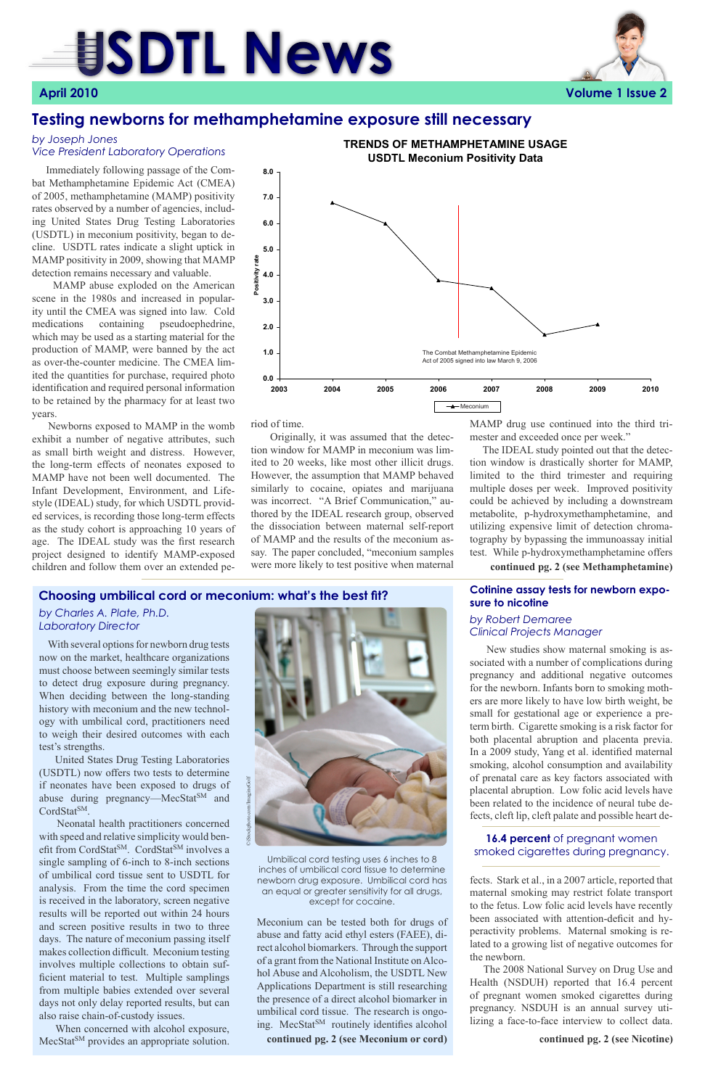# **SDTL News April 2010 Volume 1 Issue 2**



### **Testing newborns for methamphetamine exposure still necessary**

 Immediately following passage of the Combat Methamphetamine Epidemic Act (CMEA) of 2005, methamphetamine (MAMP) positivity rates observed by a number of agencies, including United States Drug Testing Laboratories (USDTL) in meconium positivity, began to decline. USDTL rates indicate a slight uptick in MAMP positivity in 2009, showing that MAMP detection remains necessary and valuable.

 MAMP abuse exploded on the American scene in the 1980s and increased in popularity until the CMEA was signed into law. Cold medications containing pseudoephedrine, which may be used as a starting material for the production of MAMP, were banned by the act as over-the-counter medicine. The CMEA limited the quantities for purchase, required photo identification and required personal information to be retained by the pharmacy for at least two years.

 Newborns exposed to MAMP in the womb exhibit a number of negative attributes, such as small birth weight and distress. However, the long-term effects of neonates exposed to MAMP have not been well documented. The Infant Development, Environment, and Lifestyle (IDEAL) study, for which USDTL provided services, is recording those long-term effects as the study cohort is approaching 10 years of age. The IDEAL study was the first research project designed to identify MAMP-exposed children and follow them over an extended pe-

 United States Drug Testing Laboratories (USDTL) now offers two tests to determine if neonates have been exposed to drugs of abuse during pregnancy—MecStat<sup>SM</sup> and CordStat<sup>SM</sup>.

 New studies show maternal smoking is associated with a number of complications during pregnancy and additional negative outcomes for the newborn. Infants born to smoking mothers are more likely to have low birth weight, be small for gestational age or experience a preterm birth. Cigarette smoking is a risk factor for both placental abruption and placenta previa. In a 2009 study, Yang et al. identified maternal smoking, alcohol consumption and availability of prenatal care as key factors associated with placental abruption. Low folic acid levels have

been related to the incidence of neural tube defects, cleft lip, cleft palate and possible heart de-

 When concerned with alcohol exposure, MecStat<sup>SM</sup> provides an appropriate solution. fects. Stark et al., in a 2007 article, reported that maternal smoking may restrict folate transport to the fetus. Low folic acid levels have recently been associated with attention-deficit and hyperactivity problems. Maternal smoking is related to a growing list of negative outcomes for the newborn.

 The 2008 National Survey on Drug Use and Health (NSDUH) reported that 16.4 percent of pregnant women smoked cigarettes during pregnancy. NSDUH is an annual survey utilizing a face-to-face interview to collect data.

### **Cotinine assay tests for newborn exposure to nicotine**

### *by Robert Demaree Clinical Projects Manager*

### *by Joseph Jones Vice President Laboratory Operations*

Umbilical cord testing uses 6 inches to 8 inches of umbilical cord tissue to determine newborn drug exposure. Umbilical cord has an equal or greater sensitivity for all drugs, except for cocaine.

 With several options for newborn drug tests now on the market, healthcare organizations must choose between seemingly similar tests to detect drug exposure during pregnancy. When deciding between the long-standing history with meconium and the new technology with umbilical cord, practitioners need to weigh their desired outcomes with each test's strengths.

 Neonatal health practitioners concerned with speed and relative simplicity would benefit from CordStat<sup>SM</sup>. CordStat<sup>SM</sup> involves a single sampling of 6-inch to 8-inch sections of umbilical cord tissue sent to USDTL for analysis. From the time the cord specimen is received in the laboratory, screen negative results will be reported out within 24 hours and screen positive results in two to three days. The nature of meconium passing itself makes collection difficult. Meconium testing involves multiple collections to obtain sufficient material to test. Multiple samplings from multiple babies extended over several days not only delay reported results, but can also raise chain-of-custody issues.

### **Choosing umbilical cord or meconium: what's the best fit?**

### *by Charles A. Plate, Ph.D. Laboratory Director*

riod of time.

 Originally, it was assumed that the detection window for MAMP in meconium was limited to 20 weeks, like most other illicit drugs. However, the assumption that MAMP behaved similarly to cocaine, opiates and marijuana was incorrect. "A Brief Communication," authored by the IDEAL research group, observed the dissociation between maternal self-report of MAMP and the results of the meconium assay. The paper concluded, "meconium samples were more likely to test positive when maternal

Meconium can be tested both for drugs of abuse and fatty acid ethyl esters (FAEE), direct alcohol biomarkers. Through the support of a grant from the National Institute on Alcohol Abuse and Alcoholism, the USDTL New Applications Department is still researching the presence of a direct alcohol biomarker in umbilical cord tissue. The research is ongoing. MecStat<sup>SM</sup> routinely identifies alcohol **continued pg. 2 (see Meconium or cord) continued pg. 2 (see Nicotine)**



MAMP drug use continued into the third trimester and exceeded once per week."

 The IDEAL study pointed out that the detection window is drastically shorter for MAMP, limited to the third trimester and requiring multiple doses per week. Improved positivity could be achieved by including a downstream metabolite, p-hydroxymethamphetamine, and utilizing expensive limit of detection chromatography by bypassing the immunoassay initial test. While p-hydroxymethamphetamine offers

**continued pg. 2 (see Methamphetamine)**

### **16.4 percent** of pregnant women smoked cigarettes during pregnancy.